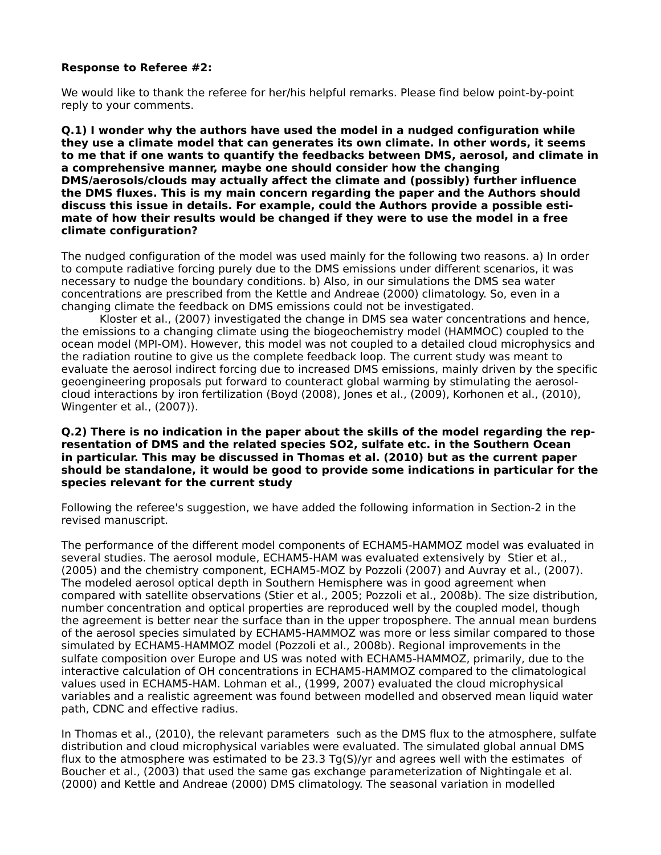### **Response to Referee #2:**

We would like to thank the referee for her/his helpful remarks. Please find below point-by-point reply to your comments.

**Q.1) I wonder why the authors have used the model in a nudged configuration while they use a climate model that can generates its own climate. In other words, it seems to me that if one wants to quantify the feedbacks between DMS, aerosol, and climate in a comprehensive manner, maybe one should consider how the changing DMS/aerosols/clouds may actually affect the climate and (possibly) further influence the DMS fluxes. This is my main concern regarding the paper and the Authors should discuss this issue in details. For example, could the Authors provide a possible estimate of how their results would be changed if they were to use the model in a free climate configuration?** 

The nudged configuration of the model was used mainly for the following two reasons. a) In order to compute radiative forcing purely due to the DMS emissions under different scenarios, it was necessary to nudge the boundary conditions. b) Also, in our simulations the DMS sea water concentrations are prescribed from the Kettle and Andreae (2000) climatology. So, even in a changing climate the feedback on DMS emissions could not be investigated.

Kloster et al., (2007) investigated the change in DMS sea water concentrations and hence, the emissions to a changing climate using the biogeochemistry model (HAMMOC) coupled to the ocean model (MPI-OM). However, this model was not coupled to a detailed cloud microphysics and the radiation routine to give us the complete feedback loop. The current study was meant to evaluate the aerosol indirect forcing due to increased DMS emissions, mainly driven by the specific geoengineering proposals put forward to counteract global warming by stimulating the aerosolcloud interactions by iron fertilization (Boyd (2008), Jones et al., (2009), Korhonen et al., (2010), Wingenter et al., (2007)).

#### **Q.2) There is no indication in the paper about the skills of the model regarding the representation of DMS and the related species SO2, sulfate etc. in the Southern Ocean in particular. This may be discussed in Thomas et al. (2010) but as the current paper should be standalone, it would be good to provide some indications in particular for the species relevant for the current study**

Following the referee's suggestion, we have added the following information in Section-2 in the revised manuscript.

The performance of the different model components of ECHAM5-HAMMOZ model was evaluated in several studies. The aerosol module, ECHAM5-HAM was evaluated extensively by Stier et al., (2005) and the chemistry component, ECHAM5-MOZ by Pozzoli (2007) and Auvray et al., (2007). The modeled aerosol optical depth in Southern Hemisphere was in good agreement when compared with satellite observations (Stier et al., 2005; Pozzoli et al., 2008b). The size distribution, number concentration and optical properties are reproduced well by the coupled model, though the agreement is better near the surface than in the upper troposphere. The annual mean burdens of the aerosol species simulated by ECHAM5-HAMMOZ was more or less similar compared to those simulated by ECHAM5-HAMMOZ model (Pozzoli et al., 2008b). Regional improvements in the sulfate composition over Europe and US was noted with ECHAM5-HAMMOZ, primarily, due to the interactive calculation of OH concentrations in ECHAM5-HAMMOZ compared to the climatological values used in ECHAM5-HAM. Lohman et al., (1999, 2007) evaluated the cloud microphysical variables and a realistic agreement was found between modelled and observed mean liquid water path, CDNC and effective radius.

In Thomas et al., (2010), the relevant parameters such as the DMS flux to the atmosphere, sulfate distribution and cloud microphysical variables were evaluated. The simulated global annual DMS flux to the atmosphere was estimated to be 23.3 Tg(S)/yr and agrees well with the estimates of Boucher et al., (2003) that used the same gas exchange parameterization of Nightingale et al. (2000) and Kettle and Andreae (2000) DMS climatology. The seasonal variation in modelled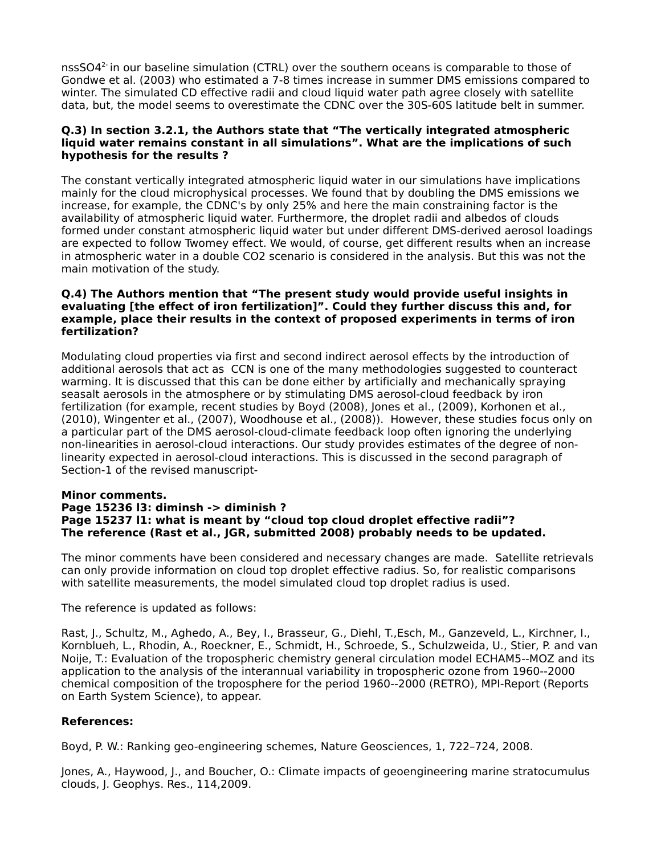nss $SO4<sup>2</sup>$  in our baseline simulation (CTRL) over the southern oceans is comparable to those of Gondwe et al. (2003) who estimated a 7-8 times increase in summer DMS emissions compared to winter. The simulated CD effective radii and cloud liquid water path agree closely with satellite data, but, the model seems to overestimate the CDNC over the 30S-60S latitude belt in summer.

### **Q.3) In section 3.2.1, the Authors state that "The vertically integrated atmospheric liquid water remains constant in all simulations". What are the implications of such hypothesis for the results ?**

The constant vertically integrated atmospheric liquid water in our simulations have implications mainly for the cloud microphysical processes. We found that by doubling the DMS emissions we increase, for example, the CDNC's by only 25% and here the main constraining factor is the availability of atmospheric liquid water. Furthermore, the droplet radii and albedos of clouds formed under constant atmospheric liquid water but under different DMS-derived aerosol loadings are expected to follow Twomey effect. We would, of course, get different results when an increase in atmospheric water in a double CO2 scenario is considered in the analysis. But this was not the main motivation of the study.

### **Q.4) The Authors mention that "The present study would provide useful insights in evaluating [the effect of iron fertilization]". Could they further discuss this and, for example, place their results in the context of proposed experiments in terms of iron fertilization?**

Modulating cloud properties via first and second indirect aerosol effects by the introduction of additional aerosols that act as CCN is one of the many methodologies suggested to counteract warming. It is discussed that this can be done either by artificially and mechanically spraying seasalt aerosols in the atmosphere or by stimulating DMS aerosol-cloud feedback by iron fertilization (for example, recent studies by Boyd (2008), Jones et al., (2009), Korhonen et al., (2010), Wingenter et al., (2007), Woodhouse et al., (2008)). However, these studies focus only on a particular part of the DMS aerosol-cloud-climate feedback loop often ignoring the underlying non-linearities in aerosol-cloud interactions. Our study provides estimates of the degree of nonlinearity expected in aerosol-cloud interactions. This is discussed in the second paragraph of Section-1 of the revised manuscript-

# **Minor comments.**

# **Page 15236 l3: diminsh -> diminish ? Page 15237 l1: what is meant by "cloud top cloud droplet effective radii"? The reference (Rast et al., JGR, submitted 2008) probably needs to be updated.**

The minor comments have been considered and necessary changes are made. Satellite retrievals can only provide information on cloud top droplet effective radius. So, for realistic comparisons with satellite measurements, the model simulated cloud top droplet radius is used.

The reference is updated as follows:

Rast, J., Schultz, M., Aghedo, A., Bey, I., Brasseur, G., Diehl, T.,Esch, M., Ganzeveld, L., Kirchner, I., Kornblueh, L., Rhodin, A., Roeckner, E., Schmidt, H., Schroede, S., Schulzweida, U., Stier, P. and van Noije, T.: Evaluation of the tropospheric chemistry general circulation model ECHAM5--MOZ and its application to the analysis of the interannual variability in tropospheric ozone from 1960--2000 chemical composition of the troposphere for the period 1960--2000 (RETRO), MPI-Report (Reports on Earth System Science), to appear.

# **References:**

Boyd, P. W.: Ranking geo-engineering schemes, Nature Geosciences, 1, 722–724, 2008.

Jones, A., Haywood, J., and Boucher, O.: Climate impacts of geoengineering marine stratocumulus clouds, J. Geophys. Res., 114,2009.